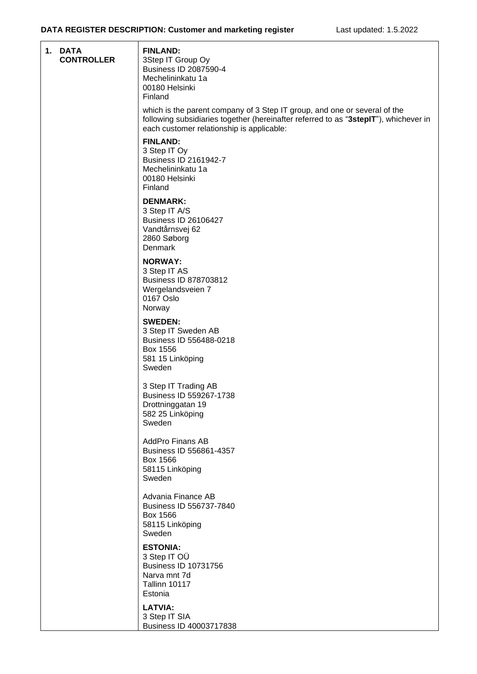| 1. DATA<br><b>CONTROLLER</b> | <b>FINLAND:</b><br>3Step IT Group Oy<br>Business ID 2087590-4<br>Mechelininkatu 1a<br>00180 Helsinki<br>Finland                                                                                                |
|------------------------------|----------------------------------------------------------------------------------------------------------------------------------------------------------------------------------------------------------------|
|                              | which is the parent company of 3 Step IT group, and one or several of the<br>following subsidiaries together (hereinafter referred to as "3stepIT"), whichever in<br>each customer relationship is applicable: |
|                              | <b>FINLAND:</b><br>3 Step IT Oy<br>Business ID 2161942-7<br>Mechelininkatu 1a<br>00180 Helsinki<br>Finland                                                                                                     |
|                              | <b>DENMARK:</b><br>3 Step IT A/S<br><b>Business ID 26106427</b><br>Vandtårnsvej 62<br>2860 Søborg<br>Denmark                                                                                                   |
|                              | <b>NORWAY:</b><br>3 Step IT AS<br>Business ID 878703812<br>Wergelandsveien 7<br>0167 Oslo<br>Norway                                                                                                            |
|                              | <b>SWEDEN:</b><br>3 Step IT Sweden AB<br>Business ID 556488-0218<br>Box 1556<br>581 15 Linköping<br>Sweden                                                                                                     |
|                              | 3 Step IT Trading AB<br>Business ID 559267-1738<br>Drottninggatan 19<br>582 25 Linköping<br>Sweden                                                                                                             |
|                              | <b>AddPro Finans AB</b><br>Business ID 556861-4357<br>Box 1566<br>58115 Linköping<br>Sweden                                                                                                                    |
|                              | Advania Finance AB<br>Business ID 556737-7840<br>Box 1566<br>58115 Linköping<br>Sweden                                                                                                                         |
|                              | <b>ESTONIA:</b><br>3 Step IT OU<br><b>Business ID 10731756</b><br>Narva mnt 7d<br><b>Tallinn 10117</b><br>Estonia                                                                                              |
|                              | <b>LATVIA:</b><br>3 Step IT SIA<br>Business ID 40003717838                                                                                                                                                     |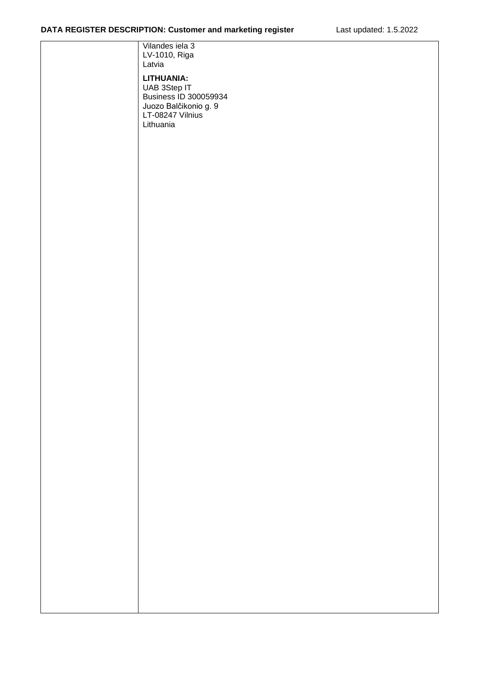| Vilandes iela 3                       |
|---------------------------------------|
| LV-1010, Riga                         |
| Latvia                                |
| LITHUANIA:                            |
| UAB 3Step IT<br>Business ID 300059934 |
|                                       |
| Juozo Balčikonio g. 9                 |
| LT-08247 Vilnius                      |
| Lithuania                             |
|                                       |
|                                       |
|                                       |
|                                       |
|                                       |
|                                       |
|                                       |
|                                       |
|                                       |
|                                       |
|                                       |
|                                       |
|                                       |
|                                       |
|                                       |
|                                       |
|                                       |
|                                       |
|                                       |
|                                       |
|                                       |
|                                       |
|                                       |
|                                       |
|                                       |
|                                       |
|                                       |
|                                       |
|                                       |
|                                       |
|                                       |
|                                       |
|                                       |
|                                       |
|                                       |
|                                       |
|                                       |
|                                       |
|                                       |
|                                       |
|                                       |
|                                       |
|                                       |
|                                       |
|                                       |
|                                       |
|                                       |
|                                       |
|                                       |
|                                       |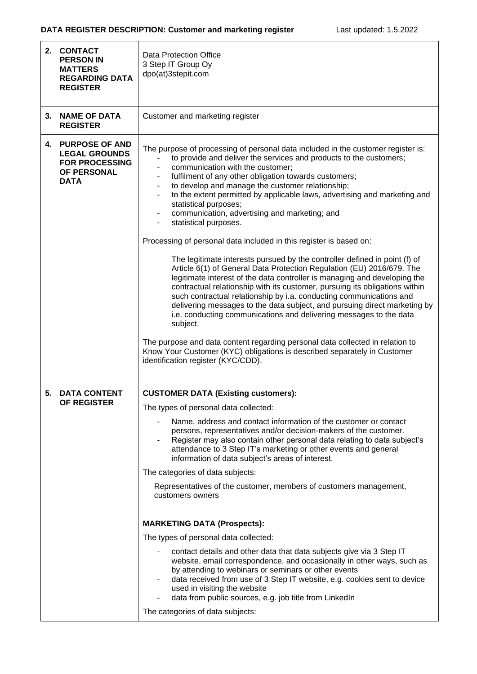| 2. | <b>CONTACT</b><br><b>PERSON IN</b><br><b>MATTERS</b><br><b>REGARDING DATA</b><br><b>REGISTER</b> | <b>Data Protection Office</b><br>3 Step IT Group Oy<br>dpo(at)3stepit.com                                                                                                                                                                                                                                                                                                                                                                                                                                                                                                                                                                                                    |
|----|--------------------------------------------------------------------------------------------------|------------------------------------------------------------------------------------------------------------------------------------------------------------------------------------------------------------------------------------------------------------------------------------------------------------------------------------------------------------------------------------------------------------------------------------------------------------------------------------------------------------------------------------------------------------------------------------------------------------------------------------------------------------------------------|
|    | 3. NAME OF DATA<br><b>REGISTER</b>                                                               | Customer and marketing register                                                                                                                                                                                                                                                                                                                                                                                                                                                                                                                                                                                                                                              |
|    | 4. PURPOSE OF AND<br><b>LEGAL GROUNDS</b><br><b>FOR PROCESSING</b><br>OF PERSONAL<br><b>DATA</b> | The purpose of processing of personal data included in the customer register is:<br>to provide and deliver the services and products to the customers;<br>communication with the customer;<br>fulfilment of any other obligation towards customers;<br>to develop and manage the customer relationship;<br>۰<br>to the extent permitted by applicable laws, advertising and marketing and<br>statistical purposes;<br>communication, advertising and marketing; and<br>statistical purposes.<br>$\overline{\phantom{a}}$<br>Processing of personal data included in this register is based on:<br>The legitimate interests pursued by the controller defined in point (f) of |
|    |                                                                                                  | Article 6(1) of General Data Protection Regulation (EU) 2016/679. The<br>legitimate interest of the data controller is managing and developing the<br>contractual relationship with its customer, pursuing its obligations within<br>such contractual relationship by i.a. conducting communications and<br>delivering messages to the data subject, and pursuing direct marketing by<br>i.e. conducting communications and delivering messages to the data<br>subject.                                                                                                                                                                                                      |
|    |                                                                                                  | The purpose and data content regarding personal data collected in relation to<br>Know Your Customer (KYC) obligations is described separately in Customer<br>identification register (KYC/CDD).                                                                                                                                                                                                                                                                                                                                                                                                                                                                              |
| 5. | <b>DATA CONTENT</b>                                                                              | <b>CUSTOMER DATA (Existing customers):</b>                                                                                                                                                                                                                                                                                                                                                                                                                                                                                                                                                                                                                                   |
|    | <b>OF REGISTER</b>                                                                               | The types of personal data collected:                                                                                                                                                                                                                                                                                                                                                                                                                                                                                                                                                                                                                                        |
|    |                                                                                                  | Name, address and contact information of the customer or contact<br>persons, representatives and/or decision-makers of the customer.<br>Register may also contain other personal data relating to data subject's<br>attendance to 3 Step IT's marketing or other events and general<br>information of data subject's areas of interest.                                                                                                                                                                                                                                                                                                                                      |
|    |                                                                                                  | The categories of data subjects:                                                                                                                                                                                                                                                                                                                                                                                                                                                                                                                                                                                                                                             |
|    |                                                                                                  | Representatives of the customer, members of customers management,<br>customers owners                                                                                                                                                                                                                                                                                                                                                                                                                                                                                                                                                                                        |
|    |                                                                                                  | <b>MARKETING DATA (Prospects):</b>                                                                                                                                                                                                                                                                                                                                                                                                                                                                                                                                                                                                                                           |
|    |                                                                                                  | The types of personal data collected:                                                                                                                                                                                                                                                                                                                                                                                                                                                                                                                                                                                                                                        |
|    |                                                                                                  | contact details and other data that data subjects give via 3 Step IT<br>website, email correspondence, and occasionally in other ways, such as<br>by attending to webinars or seminars or other events<br>data received from use of 3 Step IT website, e.g. cookies sent to device<br>used in visiting the website<br>data from public sources, e.g. job title from LinkedIn<br>۰                                                                                                                                                                                                                                                                                            |
|    |                                                                                                  | The categories of data subjects:                                                                                                                                                                                                                                                                                                                                                                                                                                                                                                                                                                                                                                             |